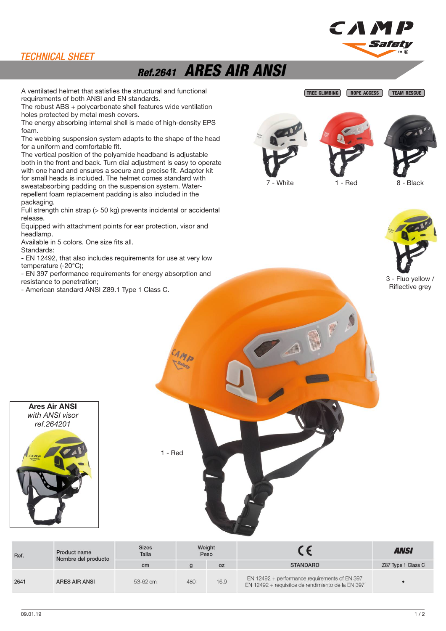#### TECHNICAL SHEET

## Ref.2641 ARES AIR ANSI

A ventilated helmet that satisfies the structural and functional TREE CLIMBING ROPE ACCESS requirements of both ANSI and EN standards.

The robust ABS + polycarbonate shell features wide ventilation holes protected by metal mesh covers.

The energy absorbing internal shell is made of high-density EPS foam.

The webbing suspension system adapts to the shape of the head for a uniform and comfortable fit.

The vertical position of the polyamide headband is adjustable both in the front and back. Turn dial adjustment is easy to operate with one hand and ensures a secure and precise fit. Adapter kit for small heads is included. The helmet comes standard with sweatabsorbing padding on the suspension system. Waterrepellent foam replacement padding is also included in the packaging.

Full strength chin strap (> 50 kg) prevents incidental or accidental release.

Equipped with attachment points for ear protection, visor and headlamp.

Available in 5 colors. One size fits all. Standards:

- EN 12492, that also includes requirements for use at very low temperature (-20°C);

- EN 397 performance requirements for energy absorption and resistance to penetration;

- American standard ANSI Z89.1 Type 1 Class C.





CAMI



TEAM RESCUE

Sari

7 - White **1** - Red 8 - Black



3 - Fluo yellow / Riflective grey



1 - Red

Sizes Weight  $\epsilon$ **ANSI** Product name Talla Peso Ref. Nombre del producto **STANDARD** Z87 Type 1 Class C  $cm$  $\mathbf{g}$  $OZ$ EN 12492 + performance requirements of EN 397  $264<sup>1</sup>$ ARES AIR ANSI 53-62 cm  $16Q$  $\triangle$ 80 EN 12492 + requisitos de rendimiento de la EN 397